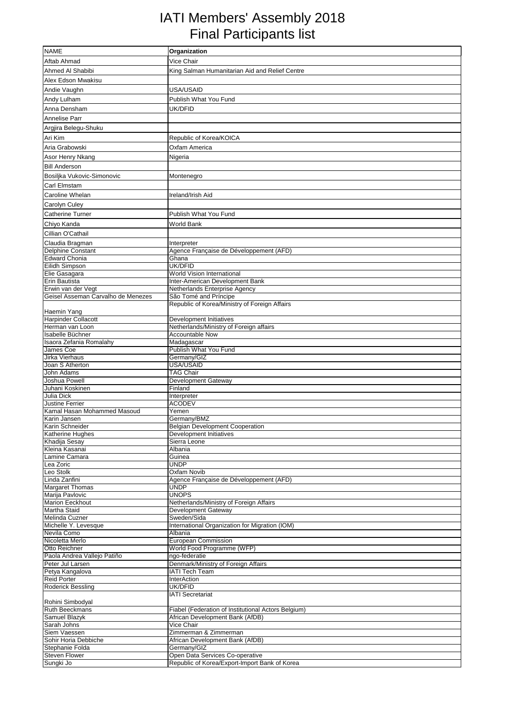## IATI Members' Assembly 2018 Final Participants list

| <b>NAME</b>                                 | Organization                                                      |
|---------------------------------------------|-------------------------------------------------------------------|
| Aftab Ahmad                                 | Vice Chair                                                        |
| Ahmed Al Shabibi                            | King Salman Humanitarian Aid and Relief Centre                    |
| Alex Edson Mwakisu                          |                                                                   |
| Andie Vaughn                                | USA/USAID                                                         |
| Andy Lulham                                 | Publish What You Fund                                             |
|                                             |                                                                   |
| Anna Densham                                | UK/DFID                                                           |
| Annelise Parr                               |                                                                   |
| Argjira Belegu-Shuku                        |                                                                   |
| Ari Kim                                     | Republic of Korea/KOICA                                           |
| Aria Grabowski                              | Oxfam America                                                     |
| Asor Henry Nkang                            | Nigeria                                                           |
| <b>Bill Anderson</b>                        |                                                                   |
| Bosiljka Vukovic-Simonovic                  | Montenegro                                                        |
| <b>Carl Elmstam</b>                         |                                                                   |
| Caroline Whelan                             | Ireland/Irish Aid                                                 |
| <b>Carolyn Culey</b>                        |                                                                   |
| <b>Catherine Turner</b>                     | Publish What You Fund                                             |
| Chiyo Kanda                                 | World Bank                                                        |
| Cillian O'Cathail                           |                                                                   |
| Claudia Bragman                             | Interpreter                                                       |
| <b>Delphine Constant</b>                    | Agence Française de Développement (AFD)                           |
| Edward Chonia                               | Ghana                                                             |
| Eilidh Simpson                              | <b>UK/DFID</b>                                                    |
| Elie Gasagara                               | World Vision International                                        |
| Erin Bautista<br>Erwin van der Vegt         | Inter-American Development Bank<br>Netherlands Enterprise Agency  |
| Geisel Asseman Carvalho de Menezes          | São Tomé and Príncipe                                             |
|                                             | Republic of Korea/Ministry of Foreign Affairs                     |
| Haemin Yang                                 |                                                                   |
| <b>Harpinder Collacott</b>                  | Development Initiatives                                           |
| Herman van Loon                             | Netherlands/Ministry of Foreign affairs                           |
| Isabelle Büchner<br>Isaora Zefania Romalahy | <b>Accountable Now</b><br>Madagascar                              |
| James Coe                                   | Publish What You Fund                                             |
| Jirka Vierhaus                              | Germany/GIZ                                                       |
| Joan S Atherton                             | USA/USAID                                                         |
| John Adams                                  | <b>TAG Chair</b>                                                  |
| Joshua Powell<br>Juhani Koskinen            | <b>Development Gateway</b><br>Finland                             |
| <b>Julia Dick</b>                           | Interpreter                                                       |
| <b>Justine Ferrier</b>                      | <b>ACODEV</b>                                                     |
| Kamal Hasan Mohammed Masoud                 | Yemen                                                             |
| Karin Jansen                                | Germany/BMZ                                                       |
| Karin Schneider<br>Katherine Hughes         | <b>Belgian Development Cooperation</b><br>Development Initiatives |
| Khadija Sesay                               | Sierra Leone                                                      |
| Kleina Kasanai                              | Albania                                                           |
| Lamine Camara                               | Guinea                                                            |
| Lea Zoric                                   | <b>UNDP</b>                                                       |
| Leo Stolk<br>Linda Zanfini                  | Oxfam Novib<br>Agence Française de Développement (AFD)            |
| <b>Margaret Thomas</b>                      | <b>UNDP</b>                                                       |
| Marija Pavlovic                             | <b>UNOPS</b>                                                      |
| <b>Marion Eeckhout</b>                      | Netherlands/Ministry of Foreign Affairs                           |
| <b>Martha Staid</b>                         | Development Gateway                                               |
| Melinda Cuzner                              | Sweden/Sida                                                       |
| Michelle Y. Levesque<br>Nevila Como         | International Organization for Migration (IOM)<br>Albania         |
| Nicoletta Merlo                             | <b>European Commission</b>                                        |
| Otto Reichner                               | World Food Programme (WFP)                                        |
| Paola Andrea Vallejo Patiño                 | ngo-federatie                                                     |
| Peter Jul Larsen                            | Denmark/Ministry of Foreign Affairs                               |
| Petya Kangalova<br><b>Reid Porter</b>       | <b>IATI Tech Team</b><br>InterAction                              |
| <b>Roderick Bessling</b>                    | UK/DFID                                                           |
|                                             | <b>IATI Secretariat</b>                                           |
| Rohini Simbodyal                            |                                                                   |
| <b>Ruth Beeckmans</b>                       | Fiabel (Federation of Institutional Actors Belgium)               |
| Samuel Blazyk<br>Sarah Johns                | African Development Bank (AfDB)<br>Vice Chair                     |
| Siem Vaessen                                | Zimmerman & Zimmerman                                             |
| Sohir Horia Debbiche                        | African Development Bank (AfDB)                                   |
| Stephanie Folda                             | Germany/GIZ                                                       |
| <b>Steven Flower</b>                        | Open Data Services Co-operative                                   |
| Sungki Jo                                   | Republic of Korea/Export-Import Bank of Korea                     |